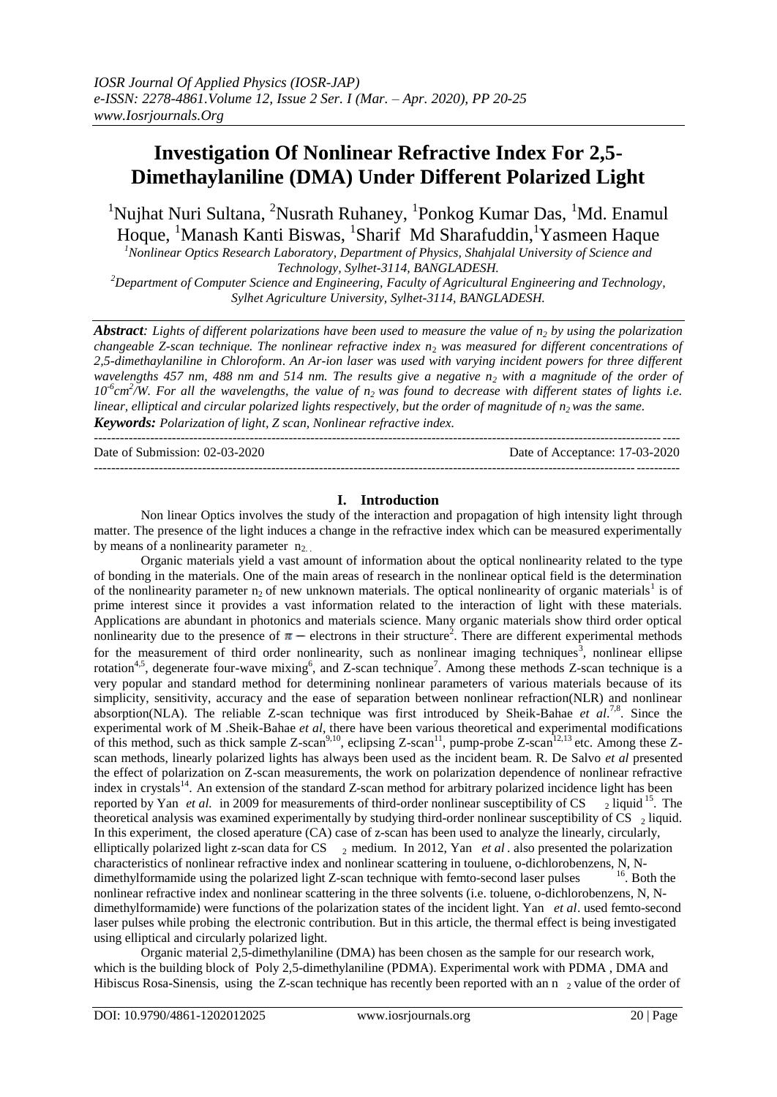# **Investigation Of Nonlinear Refractive Index For 2,5- Dimethaylaniline (DMA) Under Different Polarized Light**

<sup>1</sup>Nujhat Nuri Sultana, <sup>2</sup>Nusrath Ruhaney, <sup>1</sup>Ponkog Kumar Das, <sup>1</sup>Md. Enamul Hoque, <sup>1</sup>Manash Kanti Biswas, <sup>1</sup>Sharif Md Sharafuddin, <sup>1</sup>Yasmeen Haque

*<sup>1</sup>Nonlinear Optics Research Laboratory, Department of Physics, Shahjalal University of Science and Technology, Sylhet-3114, BANGLADESH.* 

*<sup>2</sup>Department of Computer Science and Engineering, Faculty of Agricultural Engineering and Technology, Sylhet Agriculture University, Sylhet-3114, BANGLADESH.*

*Abstract: Lights of different polarizations have been used to measure the value of n<sup>2</sup> by using the polarization changeable Z-scan technique. The nonlinear refractive index n*<sup>2</sup> *was measured for different concentrations of 2,5-dimethaylaniline in Chloroform*. *An Ar-ion laser w*as *used with varying incident powers for three different wavelengths 457 nm, 488 nm and 514 nm. The results give a negative n<sup>2</sup> with a magnitude of the order of*   $10<sup>6</sup>$ cm<sup>2</sup>/W. For all the wavelengths, the value of  $n<sub>2</sub>$  was found to decrease with different states of lights i.e. *linear, elliptical and circular polarized lights respectively, but the order of magnitude of n<sup>2</sup> was the same. Keywords: Polarization of light, Z scan, Nonlinear refractive index.*

| Date of Submission: $02-03-2020$ | Date of Acceptance: 17-03-2020 |
|----------------------------------|--------------------------------|
|                                  |                                |

## **I. Introduction**

Non linear Optics involves the study of the interaction and propagation of high intensity light through matter. The presence of the light induces a change in the refractive index which can be measured experimentally by means of a nonlinearity parameter  $n_2$ .

Organic materials yield a vast amount of information about the optical nonlinearity related to the type of bonding in the materials. One of the main areas of research in the nonlinear optical field is the determination of the nonlinearity parameter  $n_2$  of new unknown materials. The optical nonlinearity of organic materials<sup>1</sup> is of prime interest since it provides a vast information related to the interaction of light with these materials. Applications are abundant in photonics and materials science. Many organic materials show third order optical nonlinearity due to the presence of  $\pi$  – electrons in their structure<sup>2</sup>. There are different experimental methods for the measurement of third order nonlinearity, such as nonlinear imaging techniques<sup>3</sup>, nonlinear ellipse rotation<sup>4,5</sup>, degenerate four-wave mixing<sup>6</sup>, and Z-scan technique<sup>7</sup>. Among these methods Z-scan technique is a very popular and standard method for determining nonlinear parameters of various materials because of its simplicity, sensitivity, accuracy and the ease of separation between nonlinear refraction(NLR) and nonlinear absorption(NLA). The reliable Z-scan technique was first introduced by Sheik-Bahae et al.<sup>7,8</sup>. Since the experimental work of M .Sheik-Bahae *et al*, there have been various theoretical and experimental modifications of this method, such as thick sample Z-scan<sup>9,10</sup>, eclipsing Z-scan<sup>11</sup>, pump-probe Z-scan<sup>12,13</sup> etc. Among these Zscan methods, linearly polarized lights has always been used as the incident beam. R. De Salvo *et al* presented the effect of polarization on Z-scan measurements, the work on polarization dependence of nonlinear refractive index in crystals<sup>14</sup>. An extension of the standard Z-scan method for arbitrary polarized incidence light has been reported by Yan *et al.* in 2009 for measurements of third-order nonlinear susceptibility of CS  $<sub>2</sub>$  liquid<sup>15</sup>. The</sub> theoretical analysis was examined experimentally by studying third-order nonlinear susceptibility of CS  $_2$  liquid. In this experiment, the closed aperature (CA) case of z-scan has been used to analyze the linearly, circularly, elliptically polarized light z-scan data for CS  $\rightarrow$  medium. In 2012, Yan *et al* . also presented the polarization characteristics of nonlinear refractive index and nonlinear scattering in touluene, o-dichlorobenzens, N, N-<br>dimethvlformamide using the polarized light Z-scan technique with femto-second laser pulses <sup>16</sup>. Both the dimethylformamide using the polarized light Z-scan technique with femto-second laser pulses nonlinear refractive index and nonlinear scattering in the three solvents (i.e. toluene, o-dichlorobenzens, N, Ndimethylformamide) were functions of the polarization states of the incident light. Yan *et al*. used femto-second laser pulses while probing the electronic contribution. But in this article, the thermal effect is being investigated using elliptical and circularly polarized light.

Organic material 2,5-dimethylaniline (DMA) has been chosen as the sample for our research work, which is the building block of Poly 2,5-dimethylaniline (PDMA). Experimental work with PDMA , DMA and Hibiscus Rosa-Sinensis, using the Z-scan technique has recently been reported with an n  $\gamma$  value of the order of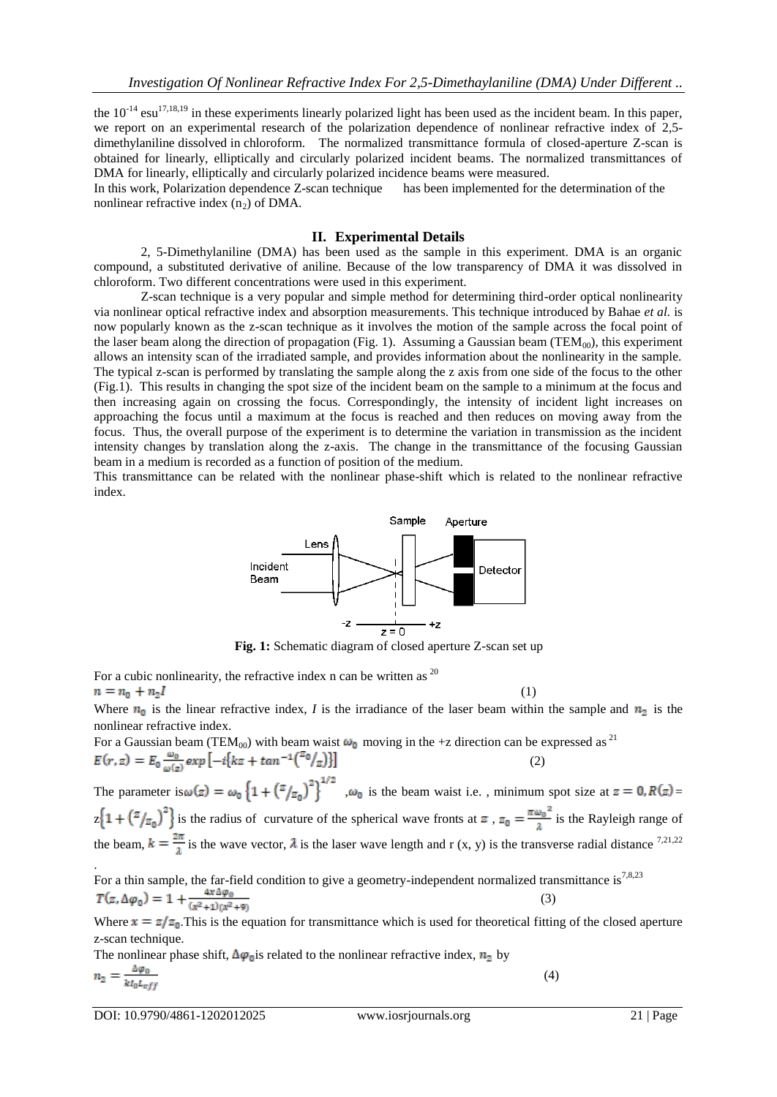the  $10^{-14}$  esu<sup>17,18,19</sup> in these experiments linearly polarized light has been used as the incident beam. In this paper, we report on an experimental research of the polarization dependence of nonlinear refractive index of 2,5 dimethylaniline dissolved in chloroform. The normalized transmittance formula of closed-aperture Z-scan is obtained for linearly, elliptically and circularly polarized incident beams. The normalized transmittances of DMA for linearly, elliptically and circularly polarized incidence beams were measured.

In this work, Polarization dependence Z-scan technique has been implemented for the determination of the nonlinear refractive index  $(n_2)$  of DMA.

### **II. Experimental Details**

2, 5-Dimethylaniline (DMA) has been used as the sample in this experiment. DMA is an organic compound, a substituted derivative of aniline. Because of the low transparency of DMA it was dissolved in chloroform. Two different concentrations were used in this experiment.

Z-scan technique is a very popular and simple method for determining third-order optical nonlinearity via nonlinear optical refractive index and absorption measurements. This technique introduced by Bahae *et al.* is now popularly known as the z-scan technique as it involves the motion of the sample across the focal point of the laser beam along the direction of propagation (Fig. 1). Assuming a Gaussian beam (TEM<sub>00</sub>), this experiment allows an intensity scan of the irradiated sample, and provides information about the nonlinearity in the sample. The typical z-scan is performed by translating the sample along the z axis from one side of the focus to the other (Fig.1). This results in changing the spot size of the incident beam on the sample to a minimum at the focus and then increasing again on crossing the focus. Correspondingly, the intensity of incident light increases on approaching the focus until a maximum at the focus is reached and then reduces on moving away from the focus. Thus, the overall purpose of the experiment is to determine the variation in transmission as the incident intensity changes by translation along the z-axis. The change in the transmittance of the focusing Gaussian beam in a medium is recorded as a function of position of the medium.

This transmittance can be related with the nonlinear phase-shift which is related to the nonlinear refractive index.

Sample Aperture Lens Incident Detector Beam -z  $+z$  $\overline{z=0}$ 

**Fig. 1:** Schematic diagram of closed aperture Z-scan set up

For a cubic nonlinearity, the refractive index n can be written as  $^{20}$  $n = n_0 + n_2I$ 

Where  $n_0$  is the linear refractive index, *I* is the irradiance of the laser beam within the sample and  $n_2$  is the nonlinear refractive index.

(1)

(4)

For a Gaussian beam (TEM<sub>00</sub>) with beam waist  $\omega_0$  moving in the +z direction can be expressed as <sup>21</sup> (2)

The parameter is  $\omega(z) = \omega_0 \left\{ 1 + \left( \frac{z}{z_0} \right)^2 \right\}^{1/2}$ ,  $\omega_0$  is the beam waist i.e., minimum spot size at  $z = 0$ ,  $R(z) =$  $z\left\{1+\left(\frac{z}{z_0}\right)^2\right\}$  is the radius of curvature of the spherical wave fronts at  $z$ ,  $z_0=\frac{\pi \omega_0^2}{\lambda}$  is the Rayleigh range of the beam,  $k = \frac{2\pi}{\lambda}$  is the wave vector,  $\lambda$  is the laser wave length and r (x, y) is the transverse radial distance <sup>7,21,22</sup> .

For a thin sample, the far-field condition to give a geometry-independent normalized transmittance is  $^{7,8,23}$ (3)

Where  $x = z/z_0$ . This is the equation for transmittance which is used for theoretical fitting of the closed aperture z-scan technique.

The nonlinear phase shift,  $\Delta \varphi_0$  is related to the nonlinear refractive index,  $n_2$  by

$$
n_2 = \frac{\Delta \varphi_0}{k I_0 L_{eff}}
$$

DOI: 10.9790/4861-1202012025 www.iosrjournals.org 21 | Page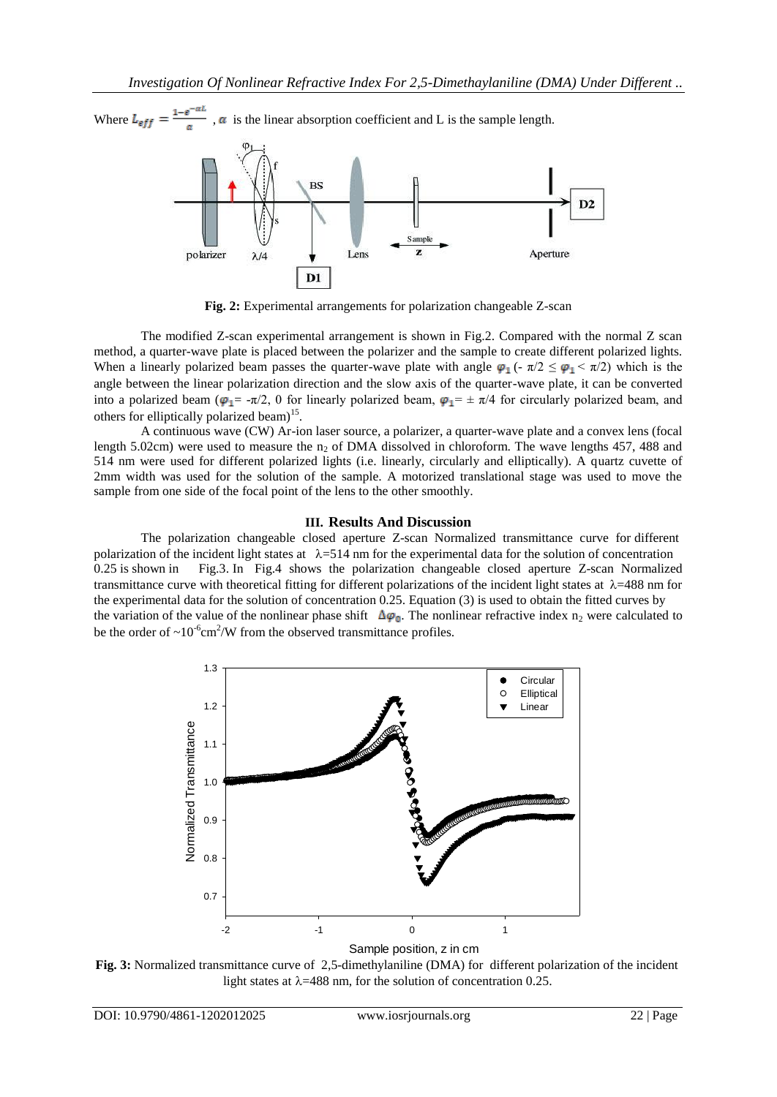Where  $L_{eff} = \frac{1-e^{-\alpha L}}{\alpha}$ ,  $\alpha$  is the linear absorption coefficient and L is the sample length.



**Fig. 2:** Experimental arrangements for polarization changeable Z-scan

The modified Z-scan experimental arrangement is shown in Fig.2. Compared with the normal Z scan method, a quarter-wave plate is placed between the polarizer and the sample to create different polarized lights. When a linearly polarized beam passes the quarter-wave plate with angle  $\varphi_1(- \pi/2 \leq \varphi_1 \leq \pi/2)$  which is the angle between the linear polarization direction and the slow axis of the quarter-wave plate, it can be converted into a polarized beam ( $\varphi_1 = -\pi/2$ , 0 for linearly polarized beam,  $\varphi_1 = \pm \pi/4$  for circularly polarized beam, and others for elliptically polarized beam)<sup>15</sup>.

A continuous wave (CW) Ar-ion laser source, a polarizer, a quarter-wave plate and a convex lens (focal length 5.02cm) were used to measure the  $n_2$  of DMA dissolved in chloroform. The wave lengths 457, 488 and 514 nm were used for different polarized lights (i.e. linearly, circularly and elliptically). A quartz cuvette of 2mm width was used for the solution of the sample. A motorized translational stage was used to move the sample from one side of the focal point of the lens to the other smoothly.

## **III. Results And Discussion**

The polarization changeable closed aperture Z-scan Normalized transmittance curve for different polarization of the incident light states at  $\lambda$ =514 nm for the experimental data for the solution of concentration 0.25 is shown in Fig.3. In Fig.4 shows the polarization changeable closed aperture Z-scan Normalized transmittance curve with theoretical fitting for different polarizations of the incident light states at  $\lambda$ =488 nm for the experimental data for the solution of concentration 0.25. Equation (3) is used to obtain the fitted curves by the variation of the value of the nonlinear phase shift  $\Delta\varphi_0$ . The nonlinear refractive index n<sub>2</sub> were calculated to be the order of  $\sim 10^{-6}$ cm<sup>2</sup>/W from the observed transmittance profiles.



Sample position, z in cm

**Fig. 3:** Normalized transmittance curve of 2,5-dimethylaniline (DMA) for different polarization of the incident light states at  $\lambda$ =488 nm, for the solution of concentration 0.25.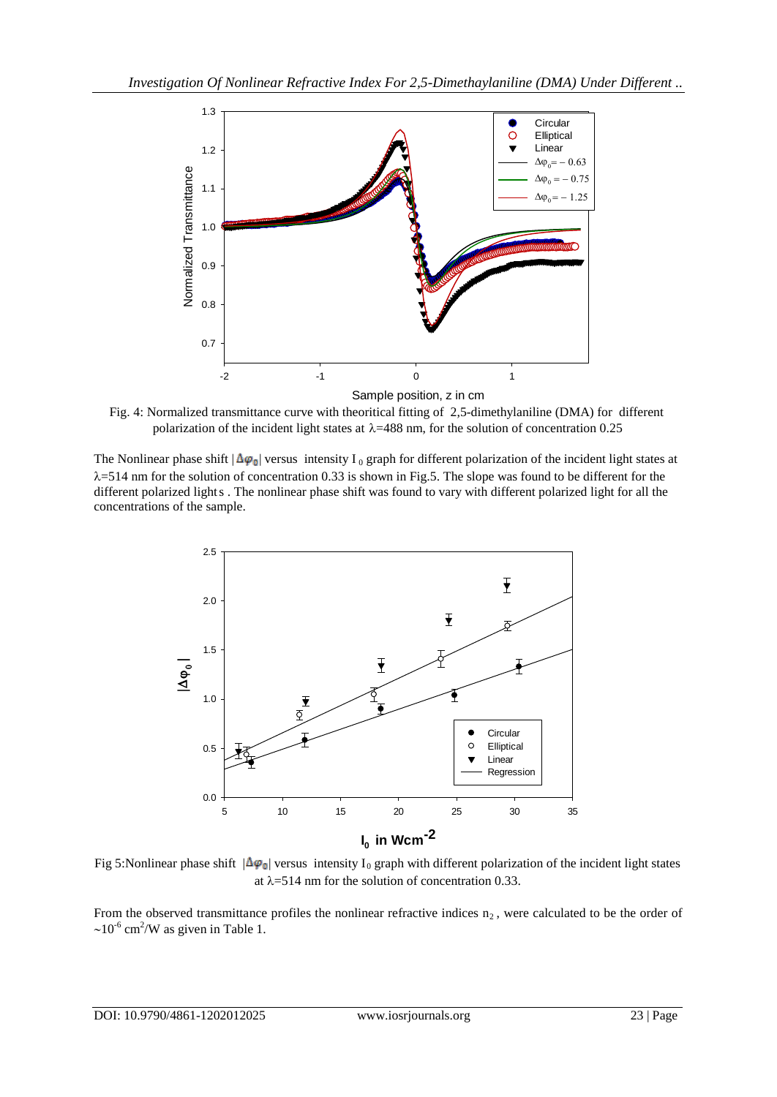

Fig. 4: Normalized transmittance curve with theoritical fitting of 2,5-dimethylaniline (DMA) for different polarization of the incident light states at  $\lambda$ =488 nm, for the solution of concentration 0.25

The Nonlinear phase shift  $|\Delta \varphi_0|$  versus intensity I<sub>0</sub> graph for different polarization of the incident light states at  $\lambda$ =514 nm for the solution of concentration 0.33 is shown in Fig.5. The slope was found to be different for the different polarized lights . The nonlinear phase shift was found to vary with different polarized light for all the concentrations of the sample.



Fig 5:Nonlinear phase shift  $|\Delta \varphi_0|$  versus intensity I<sub>0</sub> graph with different polarization of the incident light states at  $\lambda$ =514 nm for the solution of concentration 0.33.

From the observed transmittance profiles the nonlinear refractive indices  $n_2$ , were calculated to be the order of  $\sim$ 10<sup>-6</sup> cm<sup>2</sup>/W as given in Table 1.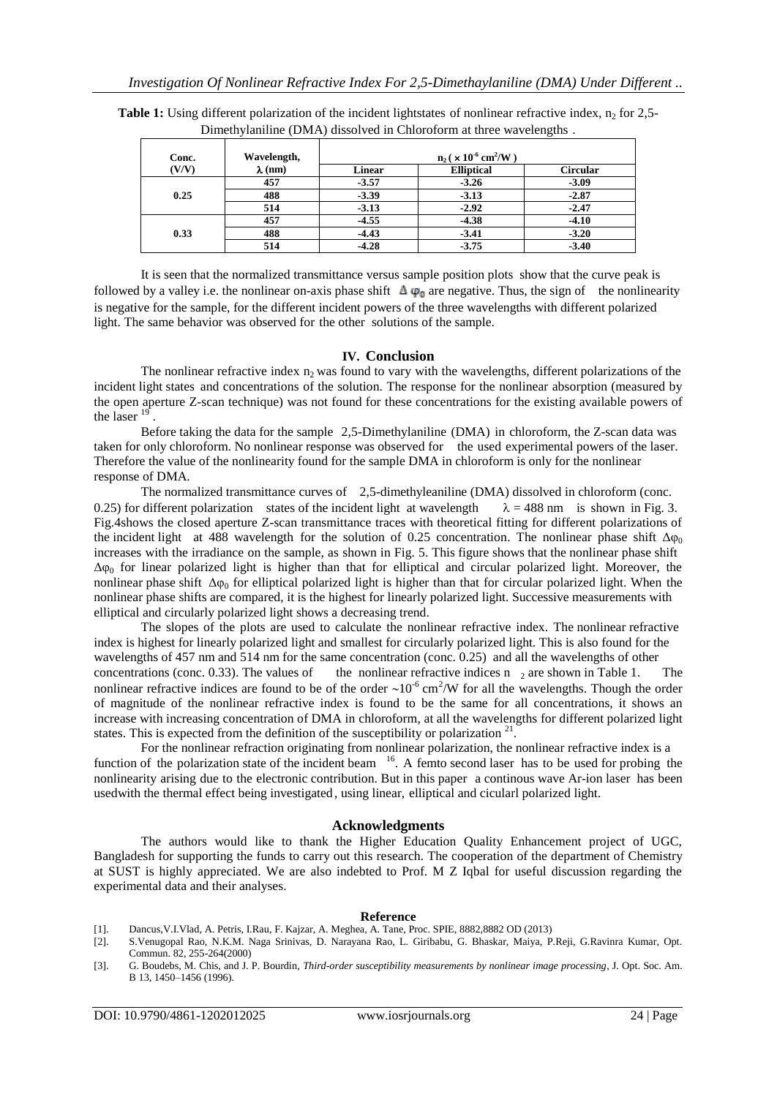| Conc.<br>(V/V) | Wavelength,<br>$\lambda$ (nm) | $n_2$ ( $\times$ 10 <sup>-6</sup> cm <sup>2</sup> /W) |                   |                 |
|----------------|-------------------------------|-------------------------------------------------------|-------------------|-----------------|
|                |                               | <b>Linear</b>                                         | <b>Elliptical</b> | <b>Circular</b> |
| 0.25           | 457                           | $-3.57$                                               | $-3.26$           | $-3.09$         |
|                | 488                           | $-3.39$                                               | $-3.13$           | $-2.87$         |
|                | 514                           | $-3.13$                                               | $-2.92$           | $-2.47$         |
| 0.33           | 457                           | $-4.55$                                               | $-4.38$           | $-4.10$         |
|                | 488                           | $-4.43$                                               | $-3.41$           | $-3.20$         |
|                | 514                           | $-4.28$                                               | $-3.75$           | $-3.40$         |

**Table 1:** Using different polarization of the incident lightstates of nonlinear refractive index, n<sub>2</sub> for 2,5-Dimethylaniline (DMA) dissolved in Chloroform at three wavelengths .

It is seen that the normalized transmittance versus sample position plots show that the curve peak is followed by a valley i.e. the nonlinear on-axis phase shift  $\Delta \varphi_0$  are negative. Thus, the sign of the nonlinearity is negative for the sample, for the different incident powers of the three wavelengths with different polarized light. The same behavior was observed for the other solutions of the sample.

#### **IV. Conclusion**

The nonlinear refractive index  $n_2$  was found to vary with the wavelengths, different polarizations of the incident light states and concentrations of the solution. The response for the nonlinear absorption (measured by the open aperture Z-scan technique) was not found for these concentrations for the existing available powers of the laser<sup>19</sup> .

Before taking the data for the sample 2,5-Dimethylaniline (DMA) in chloroform, the Z-scan data was taken for only chloroform. No nonlinear response was observed for the used experimental powers of the laser. Therefore the value of the nonlinearity found for the sample DMA in chloroform is only for the nonlinear response of DMA.

The normalized transmittance curves of 2,5-dimethyleaniline (DMA) dissolved in chloroform (conc. 0.25) for different polarization states of the incident light at wavelength  $\lambda = 488$  nm is shown in Fig. 3. Fig.4shows the closed aperture Z-scan transmittance traces with theoretical fitting for different polarizations of the incident light at 488 wavelength for the solution of 0.25 concentration. The nonlinear phase shift  $\Delta\omega_0$ increases with the irradiance on the sample, as shown in Fig. 5. This figure shows that the nonlinear phase shift  $\Delta\varphi_0$  for linear polarized light is higher than that for elliptical and circular polarized light. Moreover, the nonlinear phase shift  $\Delta\varphi_0$  for elliptical polarized light is higher than that for circular polarized light. When the nonlinear phase shifts are compared, it is the highest for linearly polarized light. Successive measurements with elliptical and circularly polarized light shows a decreasing trend.

The slopes of the plots are used to calculate the nonlinear refractive index. The nonlinear refractive index is highest for linearly polarized light and smallest for circularly polarized light. This is also found for the wavelengths of 457 nm and 514 nm for the same concentration (conc. 0.25) and all the wavelengths of other concentrations (conc. 0.33). The values of the nonlinear refractive indices n  $_2$  are shown in Table 1. nonlinear refractive indices are found to be of the order  $\sim 10^{-6}$  cm<sup>2</sup>/W for all the wavelengths. Though the order of magnitude of the nonlinear refractive index is found to be the same for all concentrations, it shows an increase with increasing concentration of DMA in chloroform, at all the wavelengths for different polarized light states. This is expected from the definition of the susceptibility or polarization  $21$ .

For the nonlinear refraction originating from nonlinear polarization, the nonlinear refractive index is a function of the polarization state of the incident beam  $16$ . A femto second laser has to be used for probing the nonlinearity arising due to the electronic contribution. But in this paper a continous wave Ar-ion laser has been usedwith the thermal effect being investigated , using linear, elliptical and cicularl polarized light.

#### **Acknowledgments**

The authors would like to thank the Higher Education Quality Enhancement project of UGC, Bangladesh for supporting the funds to carry out this research. The cooperation of the department of Chemistry at SUST is highly appreciated. We are also indebted to Prof. M Z Iqbal for useful discussion regarding the experimental data and their analyses.

#### **Reference**

- [1]. Dancus,V.I.Vlad, A. Petris, I.Rau, F. Kajzar, A. Meghea, A. Tane, Proc. SPIE, 8882,8882 OD (2013)
- [2]. S.Venugopal Rao, N.K.M. Naga Srinivas, D. Narayana Rao, L. Giribabu, G. Bhaskar, Maiya, P.Reji, G.Ravinra Kumar, Opt. Commun. 82, 255-264(2000)
- [3]. G. Boudebs, M. Chis, and J. P. Bourdin, *Third-order susceptibility measurements by nonlinear image processing*, J. Opt. Soc. Am. B 13, 1450–1456 (1996).